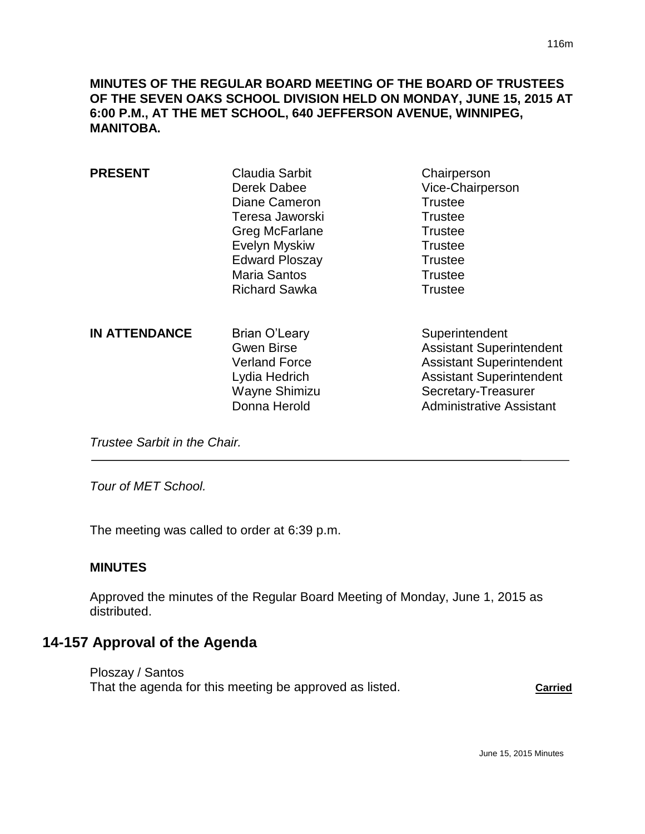**MINUTES OF THE REGULAR BOARD MEETING OF THE BOARD OF TRUSTEES OF THE SEVEN OAKS SCHOOL DIVISION HELD ON MONDAY, JUNE 15, 2015 AT 6:00 P.M., AT THE MET SCHOOL, 640 JEFFERSON AVENUE, WINNIPEG, MANITOBA.**

| <b>PRESENT</b>       | <b>Claudia Sarbit</b><br>Derek Dabee<br>Diane Cameron<br>Teresa Jaworski<br><b>Greg McFarlane</b><br>Evelyn Myskiw<br><b>Edward Ploszay</b><br><b>Maria Santos</b><br><b>Richard Sawka</b> | Chairperson<br>Vice-Chairperson<br><b>Trustee</b><br><b>Trustee</b><br><b>Trustee</b><br><b>Trustee</b><br><b>Trustee</b><br><b>Trustee</b><br><b>Trustee</b>                     |
|----------------------|--------------------------------------------------------------------------------------------------------------------------------------------------------------------------------------------|-----------------------------------------------------------------------------------------------------------------------------------------------------------------------------------|
| <b>IN ATTENDANCE</b> | Brian O'Leary<br><b>Gwen Birse</b><br><b>Verland Force</b><br>Lydia Hedrich<br>Wayne Shimizu<br>Donna Herold                                                                               | Superintendent<br><b>Assistant Superintendent</b><br><b>Assistant Superintendent</b><br><b>Assistant Superintendent</b><br>Secretary-Treasurer<br><b>Administrative Assistant</b> |

*Trustee Sarbit in the Chair.* 

*Tour of MET School.*

The meeting was called to order at 6:39 p.m.

### **MINUTES**

Approved the minutes of the Regular Board Meeting of Monday, June 1, 2015 as distributed.

# **14-157 Approval of the Agenda**

Ploszay / Santos That the agenda for this meeting be approved as listed. **Carried**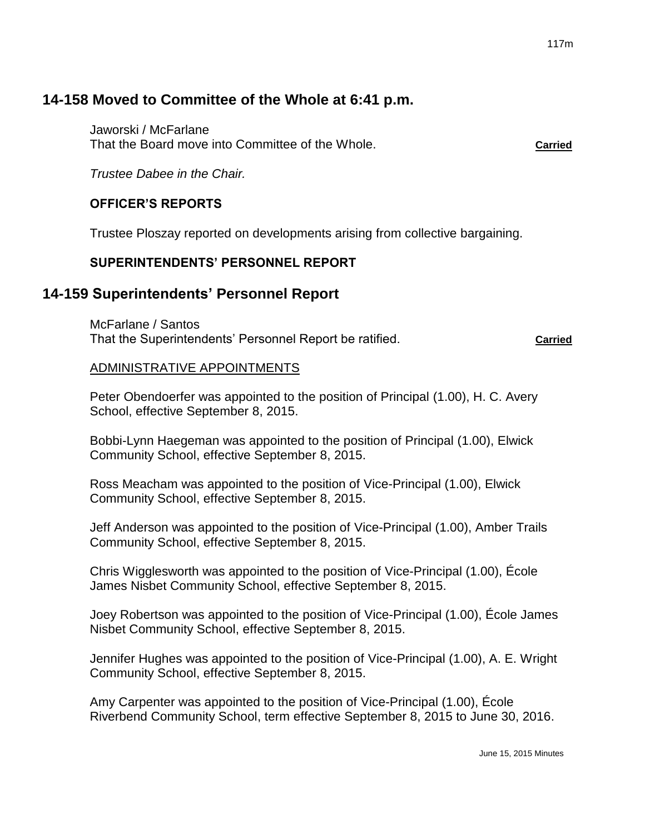# **14-158 Moved to Committee of the Whole at 6:41 p.m.**

Jaworski / McFarlane That the Board move into Committee of the Whole. **Carried**

*Trustee Dabee in the Chair.*

## **OFFICER'S REPORTS**

Trustee Ploszay reported on developments arising from collective bargaining.

## **SUPERINTENDENTS' PERSONNEL REPORT**

# **14-159 Superintendents' Personnel Report**

McFarlane / Santos That the Superintendents' Personnel Report be ratified. **Carried**

## ADMINISTRATIVE APPOINTMENTS

Peter Obendoerfer was appointed to the position of Principal (1.00), H. C. Avery School, effective September 8, 2015.

Bobbi-Lynn Haegeman was appointed to the position of Principal (1.00), Elwick Community School, effective September 8, 2015.

Ross Meacham was appointed to the position of Vice-Principal (1.00), Elwick Community School, effective September 8, 2015.

Jeff Anderson was appointed to the position of Vice-Principal (1.00), Amber Trails Community School, effective September 8, 2015.

Chris Wigglesworth was appointed to the position of Vice-Principal (1.00), École James Nisbet Community School, effective September 8, 2015.

Joey Robertson was appointed to the position of Vice-Principal (1.00), École James Nisbet Community School, effective September 8, 2015.

Jennifer Hughes was appointed to the position of Vice-Principal (1.00), A. E. Wright Community School, effective September 8, 2015.

Amy Carpenter was appointed to the position of Vice-Principal (1.00), École Riverbend Community School, term effective September 8, 2015 to June 30, 2016.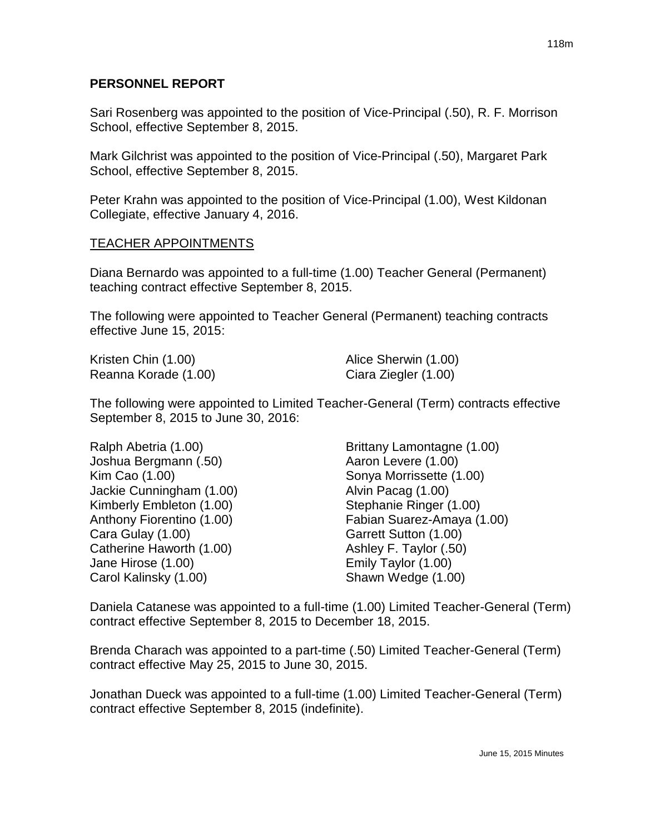Sari Rosenberg was appointed to the position of Vice-Principal (.50), R. F. Morrison School, effective September 8, 2015.

Mark Gilchrist was appointed to the position of Vice-Principal (.50), Margaret Park School, effective September 8, 2015.

Peter Krahn was appointed to the position of Vice-Principal (1.00), West Kildonan Collegiate, effective January 4, 2016.

### TEACHER APPOINTMENTS

Diana Bernardo was appointed to a full-time (1.00) Teacher General (Permanent) teaching contract effective September 8, 2015.

The following were appointed to Teacher General (Permanent) teaching contracts effective June 15, 2015:

Kristen Chin (1.00) **Alice Sherwin** (1.00) Reanna Korade (1.00) Ciara Ziegler (1.00)

The following were appointed to Limited Teacher-General (Term) contracts effective September 8, 2015 to June 30, 2016:

Ralph Abetria (1.00) Brittany Lamontagne (1.00) Joshua Bergmann (.50) Aaron Levere (1.00) Kim Cao (1.00) Sonya Morrissette (1.00) Jackie Cunningham (1.00) Alvin Pacag (1.00) Kimberly Embleton (1.00) Stephanie Ringer (1.00) Cara Gulay (1.00) Garrett Sutton (1.00) Catherine Haworth (1.00) Ashley F. Taylor (.50) Jane Hirose (1.00) Emily Taylor (1.00) Carol Kalinsky (1.00) Shawn Wedge (1.00)

Anthony Fiorentino (1.00) Fabian Suarez-Amaya (1.00)

Daniela Catanese was appointed to a full-time (1.00) Limited Teacher-General (Term) contract effective September 8, 2015 to December 18, 2015.

Brenda Charach was appointed to a part-time (.50) Limited Teacher-General (Term) contract effective May 25, 2015 to June 30, 2015.

Jonathan Dueck was appointed to a full-time (1.00) Limited Teacher-General (Term) contract effective September 8, 2015 (indefinite).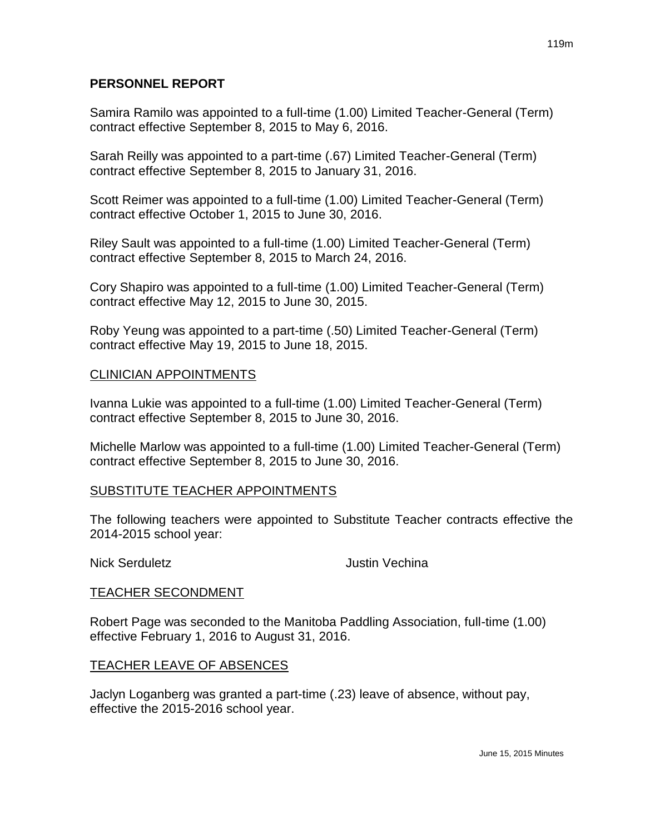Samira Ramilo was appointed to a full-time (1.00) Limited Teacher-General (Term) contract effective September 8, 2015 to May 6, 2016.

Sarah Reilly was appointed to a part-time (.67) Limited Teacher-General (Term) contract effective September 8, 2015 to January 31, 2016.

Scott Reimer was appointed to a full-time (1.00) Limited Teacher-General (Term) contract effective October 1, 2015 to June 30, 2016.

Riley Sault was appointed to a full-time (1.00) Limited Teacher-General (Term) contract effective September 8, 2015 to March 24, 2016.

Cory Shapiro was appointed to a full-time (1.00) Limited Teacher-General (Term) contract effective May 12, 2015 to June 30, 2015.

Roby Yeung was appointed to a part-time (.50) Limited Teacher-General (Term) contract effective May 19, 2015 to June 18, 2015.

## CLINICIAN APPOINTMENTS

Ivanna Lukie was appointed to a full-time (1.00) Limited Teacher-General (Term) contract effective September 8, 2015 to June 30, 2016.

Michelle Marlow was appointed to a full-time (1.00) Limited Teacher-General (Term) contract effective September 8, 2015 to June 30, 2016.

## SUBSTITUTE TEACHER APPOINTMENTS

The following teachers were appointed to Substitute Teacher contracts effective the 2014-2015 school year:

Nick Serduletz **Justin Vechina** 

### TEACHER SECONDMENT

Robert Page was seconded to the Manitoba Paddling Association, full-time (1.00) effective February 1, 2016 to August 31, 2016.

### TEACHER LEAVE OF ABSENCES

Jaclyn Loganberg was granted a part-time (.23) leave of absence, without pay, effective the 2015-2016 school year.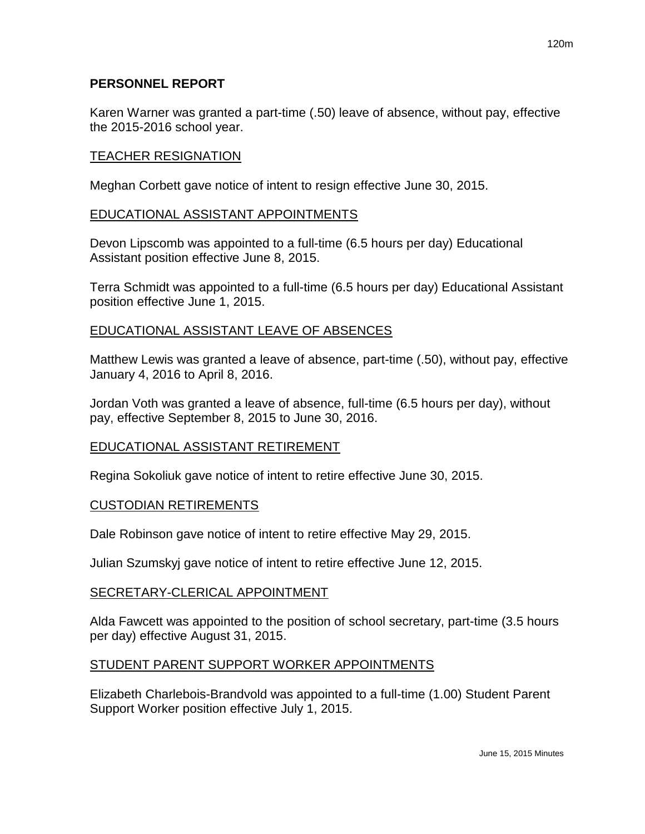Karen Warner was granted a part-time (.50) leave of absence, without pay, effective the 2015-2016 school year.

### TEACHER RESIGNATION

Meghan Corbett gave notice of intent to resign effective June 30, 2015.

### EDUCATIONAL ASSISTANT APPOINTMENTS

Devon Lipscomb was appointed to a full-time (6.5 hours per day) Educational Assistant position effective June 8, 2015.

Terra Schmidt was appointed to a full-time (6.5 hours per day) Educational Assistant position effective June 1, 2015.

### EDUCATIONAL ASSISTANT LEAVE OF ABSENCES

Matthew Lewis was granted a leave of absence, part-time (.50), without pay, effective January 4, 2016 to April 8, 2016.

Jordan Voth was granted a leave of absence, full-time (6.5 hours per day), without pay, effective September 8, 2015 to June 30, 2016.

## EDUCATIONAL ASSISTANT RETIREMENT

Regina Sokoliuk gave notice of intent to retire effective June 30, 2015.

### CUSTODIAN RETIREMENTS

Dale Robinson gave notice of intent to retire effective May 29, 2015.

Julian Szumskyj gave notice of intent to retire effective June 12, 2015.

### SECRETARY-CLERICAL APPOINTMENT

Alda Fawcett was appointed to the position of school secretary, part-time (3.5 hours per day) effective August 31, 2015.

## STUDENT PARENT SUPPORT WORKER APPOINTMENTS

Elizabeth Charlebois-Brandvold was appointed to a full-time (1.00) Student Parent Support Worker position effective July 1, 2015.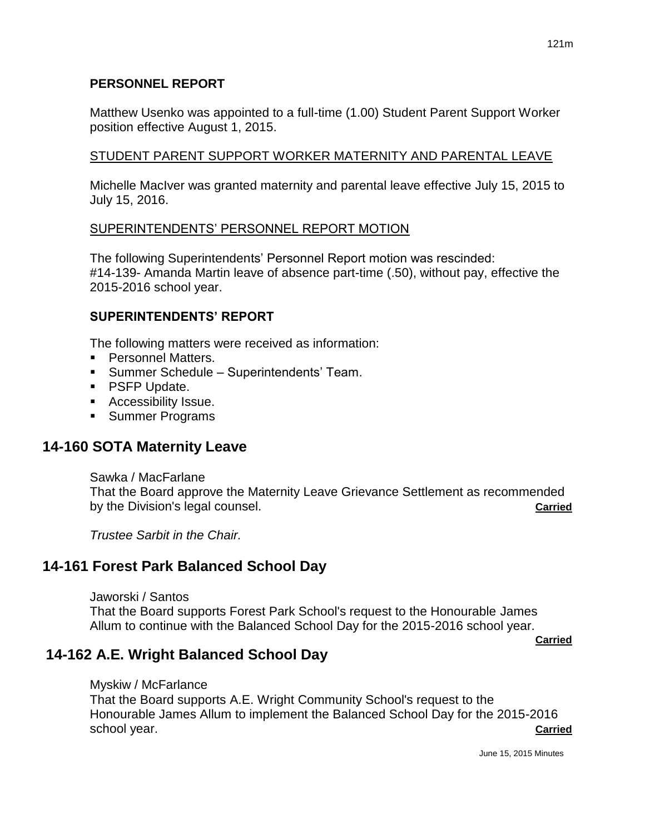Matthew Usenko was appointed to a full-time (1.00) Student Parent Support Worker position effective August 1, 2015.

# STUDENT PARENT SUPPORT WORKER MATERNITY AND PARENTAL LEAVE

Michelle MacIver was granted maternity and parental leave effective July 15, 2015 to July 15, 2016.

# SUPERINTENDENTS' PERSONNEL REPORT MOTION

The following Superintendents' Personnel Report motion was rescinded: #14-139- Amanda Martin leave of absence part-time (.50), without pay, effective the 2015-2016 school year.

# **SUPERINTENDENTS' REPORT**

The following matters were received as information:

- **Personnel Matters.**
- Summer Schedule Superintendents' Team.
- **PSFP Update.**
- **Accessibility Issue.**
- **Summer Programs**

# **14-160 SOTA Maternity Leave**

Sawka / MacFarlane That the Board approve the Maternity Leave Grievance Settlement as recommended by the Division's legal counsel. **Carried**

*Trustee Sarbit in the Chair.*

# **14-161 Forest Park Balanced School Day**

Jaworski / Santos

That the Board supports Forest Park School's request to the Honourable James Allum to continue with the Balanced School Day for the 2015-2016 school year.

**Carried**

# **14-162 A.E. Wright Balanced School Day**

### Myskiw / McFarlance

That the Board supports A.E. Wright Community School's request to the Honourable James Allum to implement the Balanced School Day for the 2015-2016 school year. **Carried**

June 15, 2015 Minutes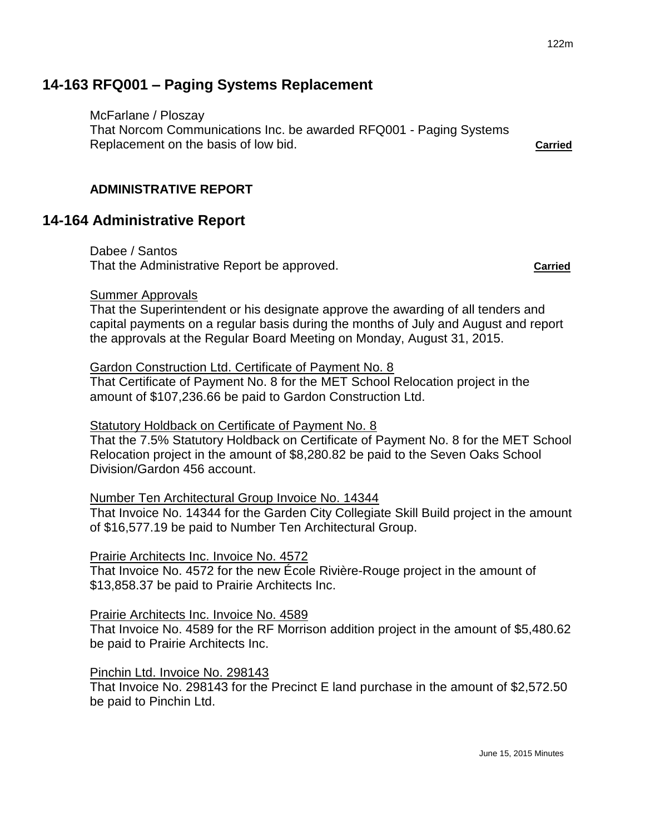# **14-163 RFQ001 – Paging Systems Replacement**

McFarlane / Ploszay

That Norcom Communications Inc. be awarded RFQ001 - Paging Systems Replacement on the basis of low bid. **Carried**

# **ADMINISTRATIVE REPORT**

# **14-164 Administrative Report**

Dabee / Santos That the Administrative Report be approved. **Carried**

Summer Approvals

That the Superintendent or his designate approve the awarding of all tenders and capital payments on a regular basis during the months of July and August and report the approvals at the Regular Board Meeting on Monday, August 31, 2015.

### Gardon Construction Ltd. Certificate of Payment No. 8

That Certificate of Payment No. 8 for the MET School Relocation project in the amount of \$107,236.66 be paid to Gardon Construction Ltd.

## Statutory Holdback on Certificate of Payment No. 8

That the 7.5% Statutory Holdback on Certificate of Payment No. 8 for the MET School Relocation project in the amount of \$8,280.82 be paid to the Seven Oaks School Division/Gardon 456 account.

## Number Ten Architectural Group Invoice No. 14344

That Invoice No. 14344 for the Garden City Collegiate Skill Build project in the amount of \$16,577.19 be paid to Number Ten Architectural Group.

### Prairie Architects Inc. Invoice No. 4572

That Invoice No. 4572 for the new École Rivière-Rouge project in the amount of \$13,858.37 be paid to Prairie Architects Inc.

### Prairie Architects Inc. Invoice No. 4589

That Invoice No. 4589 for the RF Morrison addition project in the amount of \$5,480.62 be paid to Prairie Architects Inc.

### Pinchin Ltd. Invoice No. 298143

That Invoice No. 298143 for the Precinct E land purchase in the amount of \$2,572.50 be paid to Pinchin Ltd.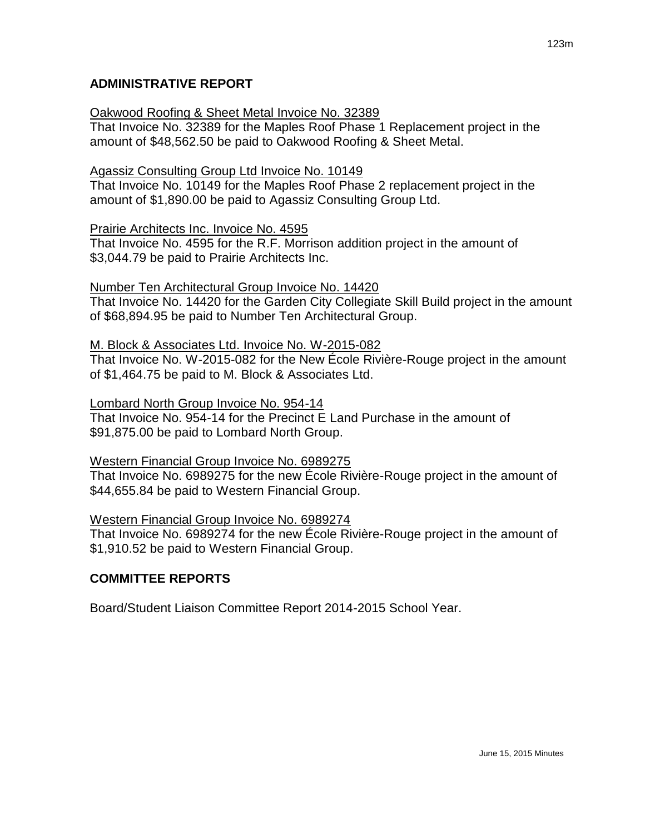## Oakwood Roofing & Sheet Metal Invoice No. 32389

That Invoice No. 32389 for the Maples Roof Phase 1 Replacement project in the amount of \$48,562.50 be paid to Oakwood Roofing & Sheet Metal.

## Agassiz Consulting Group Ltd Invoice No. 10149

That Invoice No. 10149 for the Maples Roof Phase 2 replacement project in the amount of \$1,890.00 be paid to Agassiz Consulting Group Ltd.

## Prairie Architects Inc. Invoice No. 4595

That Invoice No. 4595 for the R.F. Morrison addition project in the amount of \$3,044.79 be paid to Prairie Architects Inc.

# Number Ten Architectural Group Invoice No. 14420

That Invoice No. 14420 for the Garden City Collegiate Skill Build project in the amount of \$68,894.95 be paid to Number Ten Architectural Group.

## M. Block & Associates Ltd. Invoice No. W-2015-082

That Invoice No. W-2015-082 for the New École Rivière-Rouge project in the amount of \$1,464.75 be paid to M. Block & Associates Ltd.

## Lombard North Group Invoice No. 954-14

That Invoice No. 954-14 for the Precinct E Land Purchase in the amount of \$91,875.00 be paid to Lombard North Group.

## Western Financial Group Invoice No. 6989275

That Invoice No. 6989275 for the new École Rivière-Rouge project in the amount of \$44,655.84 be paid to Western Financial Group.

## Western Financial Group Invoice No. 6989274

That Invoice No. 6989274 for the new École Rivière-Rouge project in the amount of \$1,910.52 be paid to Western Financial Group.

# **COMMITTEE REPORTS**

Board/Student Liaison Committee Report 2014-2015 School Year.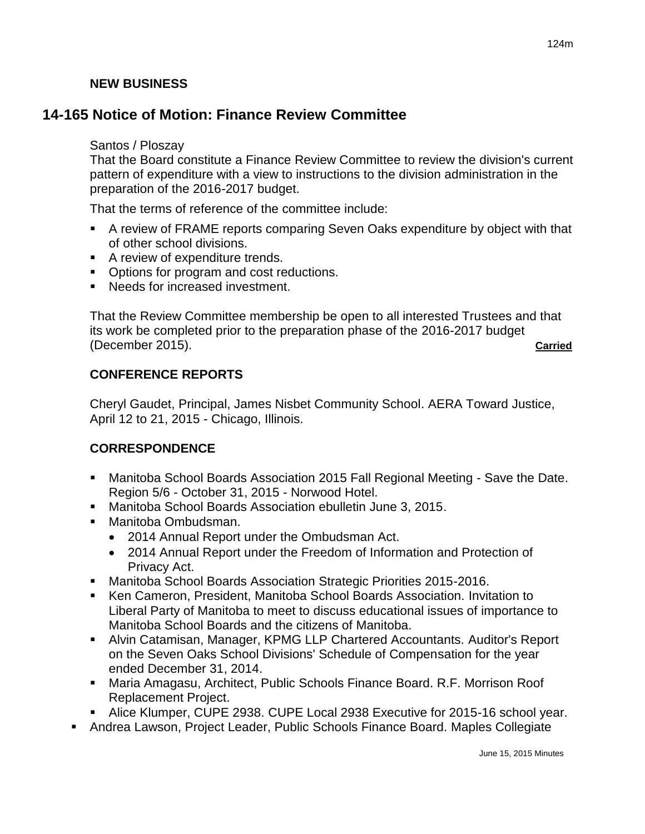# **NEW BUSINESS**

# **14-165 Notice of Motion: Finance Review Committee**

## Santos / Ploszay

That the Board constitute a Finance Review Committee to review the division's current pattern of expenditure with a view to instructions to the division administration in the preparation of the 2016-2017 budget.

That the terms of reference of the committee include:

- A review of FRAME reports comparing Seven Oaks expenditure by object with that of other school divisions.
- A review of expenditure trends.
- Options for program and cost reductions.
- Needs for increased investment.

That the Review Committee membership be open to all interested Trustees and that its work be completed prior to the preparation phase of the 2016-2017 budget (December 2015). **Carried**

# **CONFERENCE REPORTS**

Cheryl Gaudet, Principal, James Nisbet Community School. AERA Toward Justice, April 12 to 21, 2015 - Chicago, Illinois.

## **CORRESPONDENCE**

- Manitoba School Boards Association 2015 Fall Regional Meeting Save the Date. Region 5/6 - October 31, 2015 - Norwood Hotel.
- Manitoba School Boards Association ebulletin June 3, 2015.
- **Manitoba Ombudsman.** 
	- 2014 Annual Report under the Ombudsman Act.
	- 2014 Annual Report under the Freedom of Information and Protection of Privacy Act.
- Manitoba School Boards Association Strategic Priorities 2015-2016.
- Ken Cameron, President, Manitoba School Boards Association. Invitation to Liberal Party of Manitoba to meet to discuss educational issues of importance to Manitoba School Boards and the citizens of Manitoba.
- Alvin Catamisan, Manager, KPMG LLP Chartered Accountants. Auditor's Report on the Seven Oaks School Divisions' Schedule of Compensation for the year ended December 31, 2014.
- Maria Amagasu, Architect, Public Schools Finance Board. R.F. Morrison Roof Replacement Project.
- Alice Klumper, CUPE 2938. CUPE Local 2938 Executive for 2015-16 school year.
- Andrea Lawson, Project Leader, Public Schools Finance Board. Maples Collegiate